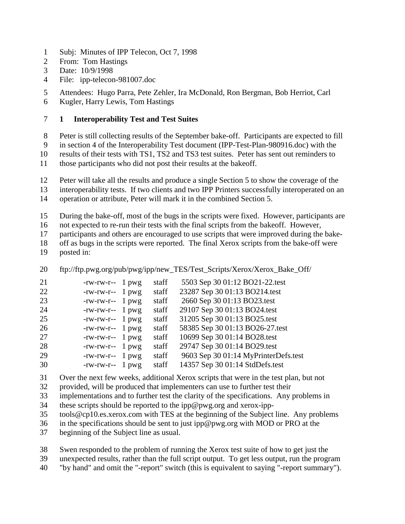- Subj: Minutes of IPP Telecon, Oct 7, 1998
- From: Tom Hastings
- Date: 10/9/1998
- File: ipp-telecon-981007.doc

Attendees: Hugo Parra, Pete Zehler, Ira McDonald, Ron Bergman, Bob Herriot, Carl

Kugler, Harry Lewis, Tom Hastings

## **1 Interoperability Test and Test Suites**

Peter is still collecting results of the September bake-off. Participants are expected to fill

in section 4 of the Interoperability Test document (IPP-Test-Plan-980916.doc) with the

results of their tests with TS1, TS2 and TS3 test suites. Peter has sent out reminders to

those participants who did not post their results at the bakeoff.

Peter will take all the results and produce a single Section 5 to show the coverage of the

interoperability tests. If two clients and two IPP Printers successfully interoperated on an

operation or attribute, Peter will mark it in the combined Section 5.

During the bake-off, most of the bugs in the scripts were fixed. However, participants are

not expected to re-run their tests with the final scripts from the bakeoff. However,

participants and others are encouraged to use scripts that were improved during the bake-

 off as bugs in the scripts were reported. The final Xerox scripts from the bake-off were posted in:

20 ftp://ftp.pwg.org/pub/pwg/ipp/new\_TES/Test\_Scripts/Xerox/Xerox\_Bake\_Off/

| 21 | $-rw-rw-r-1$ pwg               | staff | 5503 Sep 30 01:12 BO21-22.test       |
|----|--------------------------------|-------|--------------------------------------|
| 22 | $-rw-rw-r-1$ pwg               | staff | 23287 Sep 30 01:13 BO214.test        |
| 23 | $-rw-rw-r-1$ pwg               | staff | 2660 Sep 30 01:13 BO23.test          |
| 24 | $-rw$ - $rw$ - $r$ -- 1 $pw$ g | staff | 29107 Sep 30 01:13 BO24.test         |
| 25 | $-rw-rw-r-1$ pwg               | staff | 31205 Sep 30 01:13 BO25.test         |
| 26 | $-rw$ - $rw$ - $r$ -- 1 $pwg$  | staff | 58385 Sep 30 01:13 BO26-27.test      |
| 27 | $-rw-rw-r-1$ pwg               | staff | 10699 Sep 30 01:14 BO28.test         |
| 28 | $-rw$ - $rw$ - $r$ -- 1 $pw$ g | staff | 29747 Sep 30 01:14 BO29.test         |
| 29 | $-rw-rw-r-1$ pwg               | staff | 9603 Sep 30 01:14 MyPrinterDefs.test |
| 30 | $-rw-rw-r-1$ pwg               | staff | 14357 Sep 30 01:14 StdDefs.test      |
|    |                                |       |                                      |

Over the next few weeks, additional Xerox scripts that were in the test plan, but not

provided, will be produced that implementers can use to further test their

- implementations and to further test the clarity of the specifications. Any problems in
- these scripts should be reported to the ipp@pwg.org and xerox-ipp-
- tools@cp10.es.xerox.com with TES at the beginning of the Subject line. Any problems

in the specifications should be sent to just ipp@pwg.org with MOD or PRO at the

beginning of the Subject line as usual.

Swen responded to the problem of running the Xerox test suite of how to get just the

unexpected results, rather than the full script output. To get less output, run the program

"by hand" and omit the "-report" switch (this is equivalent to saying "-report summary").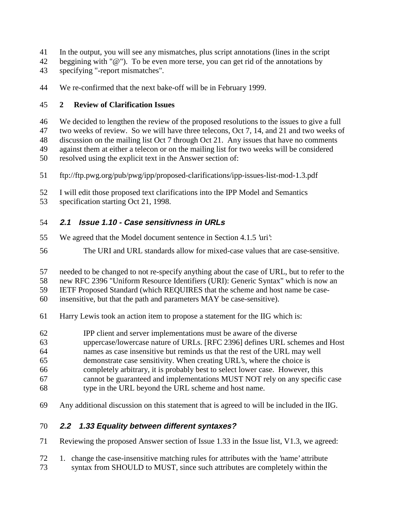- In the output, you will see any mismatches, plus script annotations (lines in the script
- 42 beggining with " $@$ "). To be even more terse, you can get rid of the annotations by
- specifying "-report mismatches".
- We re-confirmed that the next bake-off will be in February 1999.

## **2 Review of Clarification Issues**

- We decided to lengthen the review of the proposed resolutions to the issues to give a full two weeks of review. So we will have three telecons, Oct 7, 14, and 21 and two weeks of discussion on the mailing list Oct 7 through Oct 21. Any issues that have no comments against them at either a telecon or on the mailing list for two weeks will be considered
- resolved using the explicit text in the Answer section of:
- ftp://ftp.pwg.org/pub/pwg/ipp/proposed-clarifications/ipp-issues-list-mod-1.3.pdf
- I will edit those proposed text clarifications into the IPP Model and Semantics
- specification starting Oct 21, 1998.

## **2.1 Issue 1.10 - Case sensitivness in URLs**

- We agreed that the Model document sentence in Section 4.1.5 'uri':
- The URI and URL standards allow for mixed-case values that are case-sensitive.
- needed to be changed to not re-specify anything about the case of URL, but to refer to the
- new RFC 2396 "Uniform Resource Identifiers (URI): Generic Syntax" which is now an
- IETF Proposed Standard (which REQUIRES that the scheme and host name be case-
- insensitive, but that the path and parameters MAY be case-sensitive).
- Harry Lewis took an action item to propose a statement for the IIG which is:
- IPP client and server implementations must be aware of the diverse
- uppercase/lowercase nature of URLs. [RFC 2396] defines URL schemes and Host
- names as case insensitive but reminds us that the rest of the URL may well
- demonstrate case sensitivity. When creating URL's, where the choice is
- completely arbitrary, it is probably best to select lower case. However, this
- cannot be guaranteed and implementations MUST NOT rely on any specific case
- type in the URL beyond the URL scheme and host name.
- Any additional discussion on this statement that is agreed to will be included in the IIG.

## **2.2 1.33 Equality between different syntaxes?**

- Reviewing the proposed Answer section of Issue 1.33 in the Issue list, V1.3, we agreed:
- 1. change the case-insensitive matching rules for attributes with the 'name' attribute syntax from SHOULD to MUST, since such attributes are completely within the